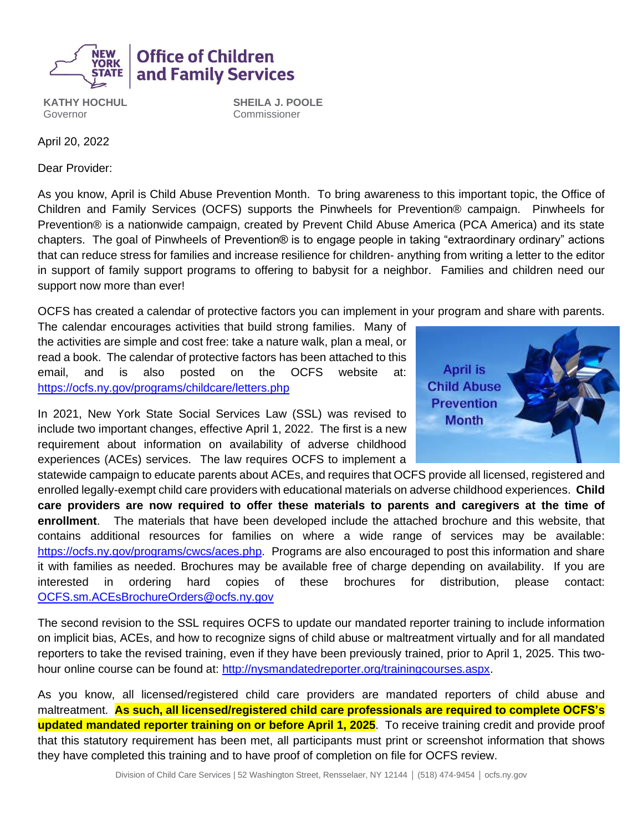

**KATHY HOCHUL** Governor

**SHEILA J. POOLE** Commissioner

April 20, 2022

Dear Provider:

As you know, April is Child Abuse Prevention Month. To bring awareness to this important topic, the Office of Children and Family Services (OCFS) supports the Pinwheels for Prevention® campaign. Pinwheels for Prevention® is a nationwide campaign, created by Prevent Child Abuse America (PCA America) and its state chapters. The goal of Pinwheels of Prevention® is to engage people in taking "extraordinary ordinary" actions that can reduce stress for families and increase resilience for children- anything from writing a letter to the editor in support of family support programs to offering to babysit for a neighbor. Families and children need our support now more than ever!

OCFS has created a calendar of protective factors you can implement in your program and share with parents.

The calendar encourages activities that build strong families. Many of the activities are simple and cost free: take a nature walk, plan a meal, or read a book. The calendar of protective factors has been attached to this email, and is also posted on the OCFS website at: <https://ocfs.ny.gov/programs/childcare/letters.php>

**Office of Children** 

and Family Services

In 2021, New York State Social Services Law (SSL) was revised to include two important changes, effective April 1, 2022. The first is a new requirement about information on availability of adverse childhood experiences (ACEs) services. The law requires OCFS to implement a



statewide campaign to educate parents about ACEs, and requires that OCFS provide all licensed, registered and enrolled legally-exempt child care providers with educational materials on adverse childhood experiences. **Child care providers are now required to offer these materials to parents and caregivers at the time of enrollment**. The materials that have been developed include the attached brochure and this website, that contains additional resources for families on where a wide range of services may be available: [https://ocfs.ny.gov/programs/cwcs/aces.php.](https://ocfs.ny.gov/programs/cwcs/aces.php) Programs are also encouraged to post this information and share it with families as needed. Brochures may be available free of charge depending on availability. If you are interested in ordering hard copies of these brochures for distribution, please contact: [OCFS.sm.ACEsBrochureOrders@ocfs.ny.gov](mailto:OCFS.sm.ACEsBrochureOrders@ocfs.ny.gov)

The second revision to the SSL requires OCFS to update our mandated reporter training to include information on implicit bias, ACEs, and how to recognize signs of child abuse or maltreatment virtually and for all mandated reporters to take the revised training, even if they have been previously trained, prior to April 1, 2025. This twohour online course can be found at: [http://nysmandatedreporter.org/trainingcourses.aspx.](http://nysmandatedreporter.org/trainingcourses.aspx)

As you know, all licensed/registered child care providers are mandated reporters of child abuse and maltreatment. **As such, all licensed/registered child care professionals are required to complete OCFS's updated mandated reporter training on or before April 1, 2025**. To receive training credit and provide proof that this statutory requirement has been met, all participants must print or screenshot information that shows they have completed this training and to have proof of completion on file for OCFS review.